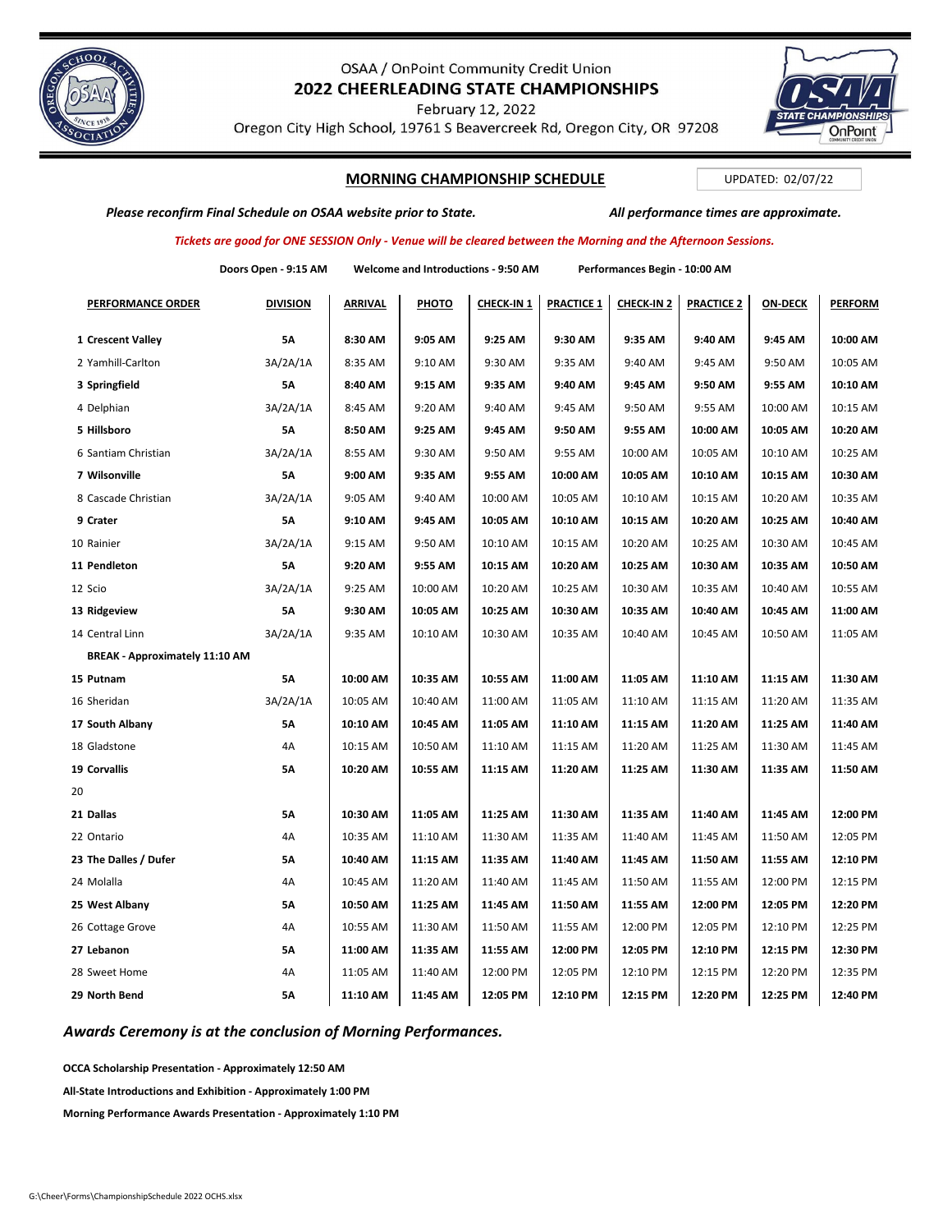

# OSAA / OnPoint Community Credit Union 2022 CHEERLEADING STATE CHAMPIONSHIPS

February 12, 2022

Oregon City High School, 19761 S Beavercreek Rd, Oregon City, OR 97208

## **MORNING CHAMPIONSHIP SCHEDULE**

UPDATED: 02/07/22

**OnPoint** 

Please reconfirm Final Schedule on OSAA website prior to State. All performance times are approximate.

## Tickets are good for ONE SESSION Only - Venue will be cleared between the Morning and the Afternoon Sessions.

|                                       | Doors Open - 9:15 AM | Welcome and Introductions - 9:50 AM |          |            | Performances Begin - 10:00 AM |                   |                   |                |                |
|---------------------------------------|----------------------|-------------------------------------|----------|------------|-------------------------------|-------------------|-------------------|----------------|----------------|
| <b>PERFORMANCE ORDER</b>              | <b>DIVISION</b>      | <b>ARRIVAL</b>                      | PHOTO    | CHECK-IN 1 | <b>PRACTICE 1</b>             | <b>CHECK-IN 2</b> | <b>PRACTICE 2</b> | <b>ON-DECK</b> | <b>PERFORM</b> |
| 1 Crescent Valley                     | 5А                   | 8:30 AM                             | 9:05 AM  | 9:25 AM    | 9:30 AM                       | 9:35 AM           | 9:40 AM           | 9:45 AM        | 10:00 AM       |
| 2 Yamhill-Carlton                     | 3A/2A/1A             | 8:35 AM                             | 9:10 AM  | 9:30 AM    | 9:35 AM                       | 9:40 AM           | 9:45 AM           | 9:50 AM        | 10:05 AM       |
| 3 Springfield                         | 5А                   | 8:40 AM                             | 9:15 AM  | 9:35 AM    | 9:40 AM                       | 9:45 AM           | 9:50 AM           | 9:55 AM        | 10:10 AM       |
| 4 Delphian                            | 3A/2A/1A             | 8:45 AM                             | 9:20 AM  | 9:40 AM    | 9:45 AM                       | 9:50 AM           | 9:55 AM           | 10:00 AM       | 10:15 AM       |
| 5 Hillsboro                           | 5А                   | 8:50 AM                             | 9:25 AM  | 9:45 AM    | 9:50 AM                       | 9:55 AM           | 10:00 AM          | 10:05 AM       | 10:20 AM       |
| 6 Santiam Christian                   | 3A/2A/1A             | 8:55 AM                             | 9:30 AM  | 9:50 AM    | 9:55 AM                       | 10:00 AM          | 10:05 AM          | 10:10 AM       | 10:25 AM       |
| 7 Wilsonville                         | 5А                   | 9:00 AM                             | 9:35 AM  | 9:55 AM    | 10:00 AM                      | 10:05 AM          | 10:10 AM          | 10:15 AM       | 10:30 AM       |
| 8 Cascade Christian                   | 3A/2A/1A             | 9:05 AM                             | 9:40 AM  | 10:00 AM   | 10:05 AM                      | 10:10 AM          | 10:15 AM          | 10:20 AM       | 10:35 AM       |
| 9 Crater                              | 5А                   | 9:10 AM                             | 9:45 AM  | 10:05 AM   | 10:10 AM                      | 10:15 AM          | 10:20 AM          | 10:25 AM       | 10:40 AM       |
| 10 Rainier                            | 3A/2A/1A             | 9:15 AM                             | 9:50 AM  | 10:10 AM   | 10:15 AM                      | 10:20 AM          | 10:25 AM          | 10:30 AM       | 10:45 AM       |
| 11 Pendleton                          | 5A                   | 9:20 AM                             | 9:55 AM  | 10:15 AM   | 10:20 AM                      | 10:25 AM          | 10:30 AM          | 10:35 AM       | 10:50 AM       |
| 12 Scio                               | 3A/2A/1A             | 9:25 AM                             | 10:00 AM | 10:20 AM   | 10:25 AM                      | 10:30 AM          | 10:35 AM          | 10:40 AM       | 10:55 AM       |
| 13 Ridgeview                          | 5А                   | 9:30 AM                             | 10:05 AM | 10:25 AM   | 10:30 AM                      | 10:35 AM          | 10:40 AM          | 10:45 AM       | 11:00 AM       |
| 14 Central Linn                       | 3A/2A/1A             | 9:35 AM                             | 10:10 AM | 10:30 AM   | 10:35 AM                      | 10:40 AM          | 10:45 AM          | 10:50 AM       | 11:05 AM       |
| <b>BREAK - Approximately 11:10 AM</b> |                      |                                     |          |            |                               |                   |                   |                |                |
| 15 Putnam                             | 5А                   | 10:00 AM                            | 10:35 AM | 10:55 AM   | 11:00 AM                      | 11:05 AM          | 11:10 AM          | 11:15 AM       | 11:30 AM       |
| 16 Sheridan                           | 3A/2A/1A             | 10:05 AM                            | 10:40 AM | 11:00 AM   | 11:05 AM                      | 11:10 AM          | 11:15 AM          | 11:20 AM       | 11:35 AM       |
| 17 South Albany                       | 5А                   | 10:10 AM                            | 10:45 AM | 11:05 AM   | 11:10 AM                      | 11:15 AM          | 11:20 AM          | 11:25 AM       | 11:40 AM       |
| 18 Gladstone                          | 4A                   | 10:15 AM                            | 10:50 AM | 11:10 AM   | 11:15 AM                      | 11:20 AM          | 11:25 AM          | 11:30 AM       | 11:45 AM       |
| 19 Corvallis                          | 5А                   | 10:20 AM                            | 10:55 AM | 11:15 AM   | 11:20 AM                      | 11:25 AM          | 11:30 AM          | 11:35 AM       | 11:50 AM       |
| 20                                    |                      |                                     |          |            |                               |                   |                   |                |                |
| 21 Dallas                             | 5А                   | 10:30 AM                            | 11:05 AM | 11:25 AM   | 11:30 AM                      | 11:35 AM          | 11:40 AM          | 11:45 AM       | 12:00 PM       |
| 22 Ontario                            | 4A                   | 10:35 AM                            | 11:10 AM | 11:30 AM   | 11:35 AM                      | 11:40 AM          | 11:45 AM          | 11:50 AM       | 12:05 PM       |
| 23 The Dalles / Dufer                 | 5Α                   | 10:40 AM                            | 11:15 AM | 11:35 AM   | 11:40 AM                      | 11:45 AM          | 11:50 AM          | 11:55 AM       | 12:10 PM       |
| 24 Molalla                            | 4A                   | 10:45 AM                            | 11:20 AM | 11:40 AM   | 11:45 AM                      | 11:50 AM          | 11:55 AM          | 12:00 PM       | 12:15 PM       |
| 25 West Albany                        | 5А                   | 10:50 AM                            | 11:25 AM | 11:45 AM   | 11:50 AM                      | 11:55 AM          | 12:00 PM          | 12:05 PM       | 12:20 PM       |
| 26 Cottage Grove                      | 4A                   | 10:55 AM                            | 11:30 AM | 11:50 AM   | 11:55 AM                      | 12:00 PM          | 12:05 PM          | 12:10 PM       | 12:25 PM       |
| 27 Lebanon                            | 5А                   | 11:00 AM                            | 11:35 AM | 11:55 AM   | 12:00 PM                      | 12:05 PM          | 12:10 PM          | 12:15 PM       | 12:30 PM       |
| 28 Sweet Home                         | 4A                   | 11:05 AM                            | 11:40 AM | 12:00 PM   | 12:05 PM                      | 12:10 PM          | 12:15 PM          | 12:20 PM       | 12:35 PM       |
| 29 North Bend                         | 5А                   | 11:10 AM                            | 11:45 AM | 12:05 PM   | 12:10 PM                      | 12:15 PM          | 12:20 PM          | 12:25 PM       | 12:40 PM       |

*Awards Ceremony is at the conclusion of Morning Performances.*

**OCCA Scholarship Presentation ‐ Approximately 12:50 AM**

**All‐State Introductions and Exhibition ‐ Approximately 1:00 PM**

**Morning Performance Awards Presentation ‐ Approximately 1:10 PM**